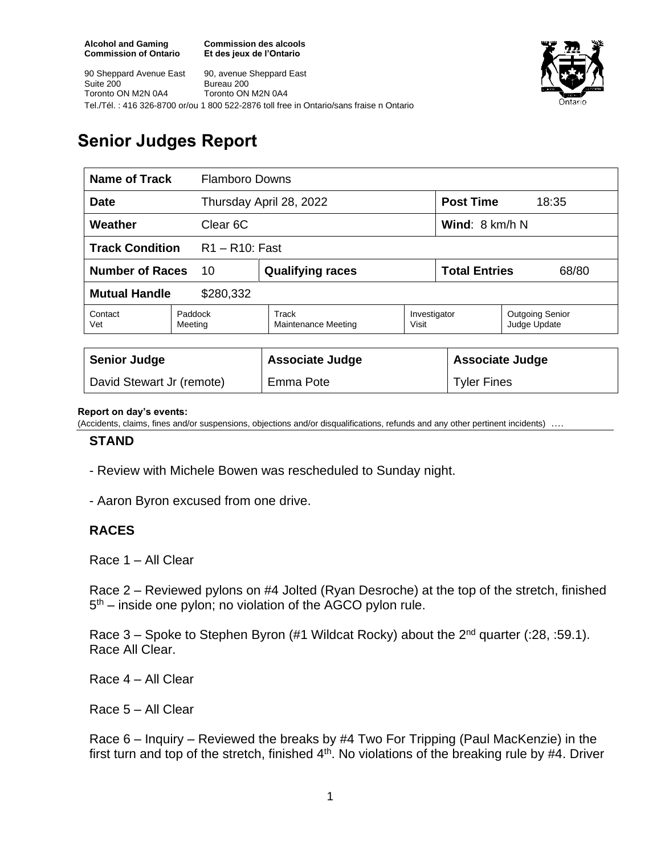**Commission des alcools Et des jeux de l'Ontario**



90 Sheppard Avenue East Suite 200 Toronto ON M2N 0A4 90, avenue Sheppard East Bureau 200 Toronto ON M2N 0A4 Tel./Tél. : 416 326-8700 or/ou 1 800 522-2876 toll free in Ontario/sans fraise n Ontario

# **Senior Judges Report**

| Name of Track                               |                    | <b>Flamboro Downs</b>        |                       |                               |                                 |
|---------------------------------------------|--------------------|------------------------------|-----------------------|-------------------------------|---------------------------------|
| <b>Date</b>                                 |                    | Thursday April 28, 2022      |                       | <b>Post Time</b>              | 18:35                           |
| Weather<br>Clear 6C                         |                    |                              |                       | Wind: 8 km/h N                |                                 |
| <b>Track Condition</b><br>$R1 - R10$ : Fast |                    |                              |                       |                               |                                 |
| <b>Number of Races</b><br>10                |                    | <b>Qualifying races</b>      |                       | <b>Total Entries</b><br>68/80 |                                 |
| <b>Mutual Handle</b><br>\$280,332           |                    |                              |                       |                               |                                 |
| Contact<br>Vet                              | Paddock<br>Meeting | Track<br>Maintenance Meeting | Investigator<br>Visit |                               | Outgoing Senior<br>Judge Update |
|                                             |                    |                              |                       |                               |                                 |
| <b>Senior Judge</b>                         |                    | <b>Associate Judge</b>       |                       | <b>Associate Judge</b>        |                                 |
| David Stewart Jr (remote)                   |                    | Emma Pote                    |                       | <b>Tyler Fines</b>            |                                 |

#### **Report on day's events:**

(Accidents, claims, fines and/or suspensions, objections and/or disqualifications, refunds and any other pertinent incidents) ….

### **STAND**

- Review with Michele Bowen was rescheduled to Sunday night.
- Aaron Byron excused from one drive.

### **RACES**

Race 1 – All Clear

Race 2 – Reviewed pylons on #4 Jolted (Ryan Desroche) at the top of the stretch, finished 5<sup>th</sup> – inside one pylon; no violation of the AGCO pylon rule.

Race  $3$  – Spoke to Stephen Byron (#1 Wildcat Rocky) about the  $2^{nd}$  quarter (:28, :59.1). Race All Clear.

Race 4 – All Clear

Race 5 – All Clear

Race 6 – Inquiry – Reviewed the breaks by #4 Two For Tripping (Paul MacKenzie) in the first turn and top of the stretch, finished  $4<sup>th</sup>$ . No violations of the breaking rule by #4. Driver